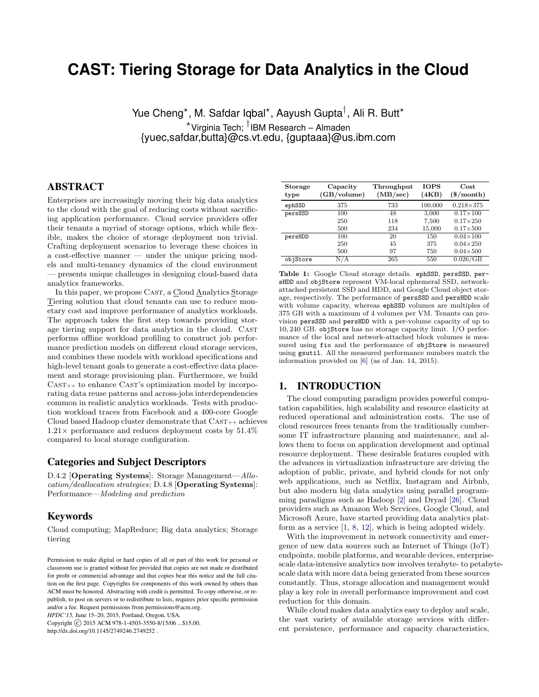# **CAST: Tiering Storage for Data Analytics in the Cloud**

Yue Cheng<sup>\*</sup>, M. Safdar Iqbal<sup>\*</sup>, Aayush Gupta<sup>†</sup>, Ali R. Butt<sup>\*</sup> ⋆ Virginia Tech; † IBM Research – Almaden {yuec,safdar,butta}@cs.vt.edu, {guptaaa}@us.ibm.com

# ABSTRACT

Enterprises are increasingly moving their big data analytics to the cloud with the goal of reducing costs without sacrificing application performance. Cloud service providers offer their tenants a myriad of storage options, which while flexible, makes the choice of storage deployment non trivial. Crafting deployment scenarios to leverage these choices in a cost-effective manner — under the unique pricing models and multi-tenancy dynamics of the cloud environment — presents unique challenges in designing cloud-based data analytics frameworks.

In this paper, we propose CAST, a Cloud Analytics Storage Tiering solution that cloud tenants can use to reduce monetary cost and improve performance of analytics workloads. The approach takes the first step towards providing storage tiering support for data analytics in the cloud. CAST performs offline workload profiling to construct job performance prediction models on different cloud storage services, and combines these models with workload specifications and high-level tenant goals to generate a cost-effective data placement and storage provisioning plan. Furthermore, we build  $CAST_{++}$  to enhance  $CAST's$  optimization model by incorporating data reuse patterns and across-jobs interdependencies common in realistic analytics workloads. Tests with production workload traces from Facebook and a 400-core Google Cloud based Hadoop cluster demonstrate that  $C_AST_{++}$  achieves  $1.21\times$  performance and reduces deployment costs by  $51.4\%$ compared to local storage configuration.

# Categories and Subject Descriptors

D.4.2 [Operating Systems]: Storage Management—Allocation/deallocation strategies; D.4.8 [Operating Systems]: Performance—Modeling and prediction

# Keywords

Cloud computing; MapReduce; Big data analytics; Storage tiering

*HPDC'15,* June 15–20, 2015, Portland, Oregon, USA. Copyright (C) 2015 ACM 978-1-4503-3550-8/15/06 ... \$15.00.

http://dx.doi.org/10.1145/2749246.2749252 .

<span id="page-0-0"></span>

| Storage<br>type | Capacity<br>(GB/volume) | Throughput<br>(MB/sec) | <b>TOPS</b><br>(4KB) | Cost<br>$(\$/month)$ |
|-----------------|-------------------------|------------------------|----------------------|----------------------|
| ephSSD          | 375                     | 733                    | 100,000              | $0.218\times375$     |
| persSSD         | 100                     | 48                     | 3,000                | $0.17\times100$      |
|                 | 250                     | 118                    | 7,500                | $0.17\times250$      |
|                 | 500                     | 234                    | 15,000               | $0.17\times500$      |
| persHDD         | 100                     | 20                     | 150                  | $0.04\times100$      |
|                 | 250                     | 45                     | 375                  | $0.04\times250$      |
|                 | 500                     | 97                     | 750                  | $0.04\times500$      |
| objStore        | N/A                     | 265                    | 550                  | $0.026/\text{GB}$    |

Table 1: Google Cloud storage details. ephSSD, persSSD, persHDD and objStore represent VM-local ephemeral SSD, networkattached persistent SSD and HDD, and Google Cloud object storage, respectively. The performance of persSSD and persHDD scale with volume capacity, whereas ephSSD volumes are multiples of 375 GB with a maximum of 4 volumes per VM. Tenants can provision persSSD and persHDD with a per-volume capacity of up to 10, 240 GB. objStore has no storage capacity limit. I/O performance of the local and network-attached block volumes is measured using fio and the performance of objStore is measured using gsutil. All the measured performance numbers match the information provided on [\[6\]](#page-10-0) (as of Jan. 14, 2015).

# 1. INTRODUCTION

The cloud computing paradigm provides powerful computation capabilities, high scalability and resource elasticity at reduced operational and administration costs. The use of cloud resources frees tenants from the traditionally cumbersome IT infrastructure planning and maintenance, and allows them to focus on application development and optimal resource deployment. These desirable features coupled with the advances in virtualization infrastructure are driving the adoption of public, private, and hybrid clouds for not only web applications, such as Netflix, Instagram and Airbnb, but also modern big data analytics using parallel programming paradigms such as Hadoop [\[2\]](#page-10-1) and Dryad [\[26\]](#page-11-0). Cloud providers such as Amazon Web Services, Google Cloud, and Microsoft Azure, have started providing data analytics platform as a service [\[1,](#page-10-2) [8,](#page-10-3) [12\]](#page-10-4), which is being adopted widely.

With the improvement in network connectivity and emergence of new data sources such as Internet of Things (IoT) endpoints, mobile platforms, and wearable devices, enterprisescale data-intensive analytics now involves terabyte- to petabytescale data with more data being generated from these sources constantly. Thus, storage allocation and management would play a key role in overall performance improvement and cost reduction for this domain.

While cloud makes data analytics easy to deploy and scale, the vast variety of available storage services with different persistence, performance and capacity characteristics,

Permission to make digital or hard copies of all or part of this work for personal or classroom use is granted without fee provided that copies are not made or distributed for profit or commercial advantage and that copies bear this notice and the full citation on the first page. Copyrights for components of this work owned by others than ACM must be honored. Abstracting with credit is permitted. To copy otherwise, or republish, to post on servers or to redistribute to lists, requires prior specific permission and/or a fee. Request permissions from permissions@acm.org.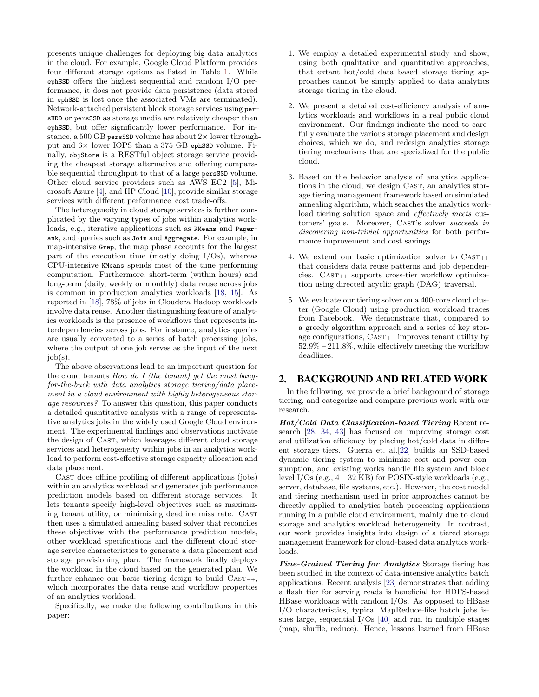presents unique challenges for deploying big data analytics in the cloud. For example, Google Cloud Platform provides four different storage options as listed in Table [1.](#page-0-0) While ephSSD offers the highest sequential and random I/O performance, it does not provide data persistence (data stored in ephSSD is lost once the associated VMs are terminated). Network-attached persistent block storage services using persHDD or persSSD as storage media are relatively cheaper than ephSSD, but offer significantly lower performance. For instance, a 500 GB persSSD volume has about  $2\times$  lower throughput and  $6\times$  lower IOPS than a 375 GB ephSSD volume. Finally, objStore is a RESTful object storage service providing the cheapest storage alternative and offering comparable sequential throughput to that of a large persSSD volume. Other cloud service providers such as AWS EC2 [\[5\]](#page-10-5), Microsoft Azure [\[4\]](#page-10-6), and HP Cloud [\[10\]](#page-10-7), provide similar storage services with different performance–cost trade-offs.

The heterogeneity in cloud storage services is further complicated by the varying types of jobs within analytics workloads, e.g., iterative applications such as KMeans and Pagerank, and queries such as Join and Aggregate. For example, in map-intensive Grep, the map phase accounts for the largest part of the execution time (mostly doing I/Os), whereas CPU-intensive KMeans spends most of the time performing computation. Furthermore, short-term (within hours) and long-term (daily, weekly or monthly) data reuse across jobs is common in production analytics workloads [\[18,](#page-11-1) [15\]](#page-10-8). As reported in [\[18\]](#page-11-1), 78% of jobs in Cloudera Hadoop workloads involve data reuse. Another distinguishing feature of analytics workloads is the presence of workflows that represents interdependencies across jobs. For instance, analytics queries are usually converted to a series of batch processing jobs, where the output of one job serves as the input of the next  $job(s)$ .

The above observations lead to an important question for the cloud tenants How do I (the tenant) get the most bangfor-the-buck with data analytics storage tiering/data placement in a cloud environment with highly heterogeneous storage resources? To answer this question, this paper conducts a detailed quantitative analysis with a range of representative analytics jobs in the widely used Google Cloud environment. The experimental findings and observations motivate the design of Cast, which leverages different cloud storage services and heterogeneity within jobs in an analytics workload to perform cost-effective storage capacity allocation and data placement.

Cast does offline profiling of different applications (jobs) within an analytics workload and generates job performance prediction models based on different storage services. It lets tenants specify high-level objectives such as maximizing tenant utility, or minimizing deadline miss rate. CAST then uses a simulated annealing based solver that reconciles these objectives with the performance prediction models, other workload specifications and the different cloud storage service characteristics to generate a data placement and storage provisioning plan. The framework finally deploys the workload in the cloud based on the generated plan. We further enhance our basic tiering design to build  $C_AST_{++}$ , which incorporates the data reuse and workflow properties of an analytics workload.

Specifically, we make the following contributions in this paper:

- 1. We employ a detailed experimental study and show, using both qualitative and quantitative approaches, that extant hot/cold data based storage tiering approaches cannot be simply applied to data analytics storage tiering in the cloud.
- 2. We present a detailed cost-efficiency analysis of analytics workloads and workflows in a real public cloud environment. Our findings indicate the need to carefully evaluate the various storage placement and design choices, which we do, and redesign analytics storage tiering mechanisms that are specialized for the public cloud.
- 3. Based on the behavior analysis of analytics applications in the cloud, we design CAST, an analytics storage tiering management framework based on simulated annealing algorithm, which searches the analytics workload tiering solution space and effectively meets customers' goals. Moreover, CAST's solver succeeds in discovering non-trivial opportunities for both performance improvement and cost savings.
- 4. We extend our basic optimization solver to  $C_{\text{AST++}}$ that considers data reuse patterns and job dependencies.  $CAST_{++}$  supports cross-tier workflow optimization using directed acyclic graph (DAG) traversal.
- 5. We evaluate our tiering solver on a 400-core cloud cluster (Google Cloud) using production workload traces from Facebook. We demonstrate that, compared to a greedy algorithm approach and a series of key storage configurations,  $C_AST_{++}$  improves tenant utility by 52.9% – 211.8%, while effectively meeting the workflow deadlines.

# 2. BACKGROUND AND RELATED WORK

In the following, we provide a brief background of storage tiering, and categorize and compare previous work with our research.

*Hot/Cold Data Classification-based Tiering* Recent research [\[28,](#page-11-2) [34,](#page-11-3) [43\]](#page-11-4) has focused on improving storage cost and utilization efficiency by placing hot/cold data in different storage tiers. Guerra et. al.[\[22\]](#page-11-5) builds an SSD-based dynamic tiering system to minimize cost and power consumption, and existing works handle file system and block level I/Os (e.g., 4 – 32 KB) for POSIX-style workloads (e.g., server, database, file systems, etc.). However, the cost model and tiering mechanism used in prior approaches cannot be directly applied to analytics batch processing applications running in a public cloud environment, mainly due to cloud storage and analytics workload heterogeneity. In contrast, our work provides insights into design of a tiered storage management framework for cloud-based data analytics workloads.

*Fine-Grained Tiering for Analytics* Storage tiering has been studied in the context of data-intensive analytics batch applications. Recent analysis [\[23\]](#page-11-6) demonstrates that adding a flash tier for serving reads is beneficial for HDFS-based HBase workloads with random I/Os. As opposed to HBase I/O characteristics, typical MapReduce-like batch jobs issues large, sequential  $I/Os$  [\[40\]](#page-11-7) and run in multiple stages (map, shuffle, reduce). Hence, lessons learned from HBase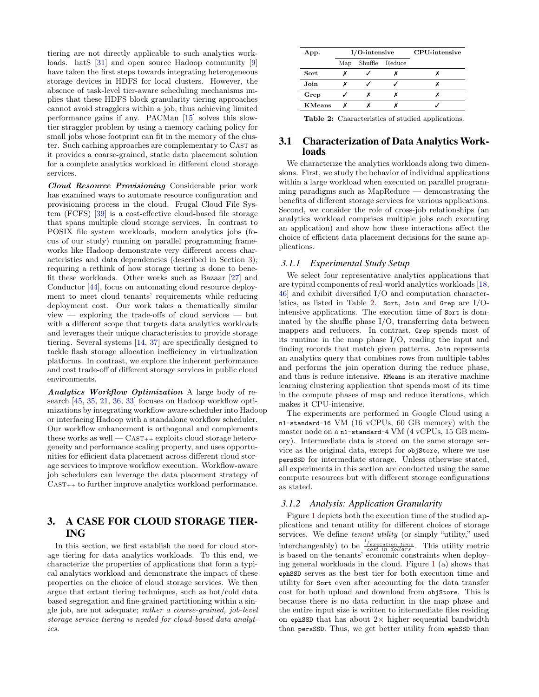tiering are not directly applicable to such analytics workloads. hatS [\[31\]](#page-11-8) and open source Hadoop community [\[9\]](#page-10-9) have taken the first steps towards integrating heterogeneous storage devices in HDFS for local clusters. However, the absence of task-level tier-aware scheduling mechanisms implies that these HDFS block granularity tiering approaches cannot avoid stragglers within a job, thus achieving limited performance gains if any. PACMan [\[15\]](#page-10-8) solves this slowtier straggler problem by using a memory caching policy for small jobs whose footprint can fit in the memory of the cluster. Such caching approaches are complementary to CAST as it provides a coarse-grained, static data placement solution for a complete analytics workload in different cloud storage services.

*Cloud Resource Provisioning* Considerable prior work has examined ways to automate resource configuration and provisioning process in the cloud. Frugal Cloud File System (FCFS) [\[39\]](#page-11-9) is a cost-effective cloud-based file storage that spans multiple cloud storage services. In contrast to POSIX file system workloads, modern analytics jobs (focus of our study) running on parallel programming frameworks like Hadoop demonstrate very different access characteristics and data dependencies (described in Section [3\)](#page-2-0); requiring a rethink of how storage tiering is done to benefit these workloads. Other works such as Bazaar [\[27\]](#page-11-10) and Conductor [\[44\]](#page-11-11), focus on automating cloud resource deployment to meet cloud tenants' requirements while reducing deployment cost. Our work takes a thematically similar view — exploring the trade-offs of cloud services — but with a different scope that targets data analytics workloads and leverages their unique characteristics to provide storage tiering. Several systems [\[14,](#page-10-10) [37\]](#page-11-12) are specifically designed to tackle flash storage allocation inefficiency in virtualization platforms. In contrast, we explore the inherent performance and cost trade-off of different storage services in public cloud environments.

*Analytics Workflow Optimization* A large body of research [\[45,](#page-11-13) [35,](#page-11-14) [21,](#page-11-15) [36,](#page-11-16) [33\]](#page-11-17) focuses on Hadoop workflow optimizations by integrating workflow-aware scheduler into Hadoop or interfacing Hadoop with a standalone workflow scheduler. Our workflow enhancement is orthogonal and complements these works as well  $-$  CAST<sub>++</sub> exploits cloud storage heterogeneity and performance scaling property, and uses opportunities for efficient data placement across different cloud storage services to improve workflow execution. Workflow-aware job schedulers can leverage the data placement strategy of  $CAST_{++}$  to further improve analytics workload performance.

# <span id="page-2-0"></span>3. A CASE FOR CLOUD STORAGE TIER-ING

In this section, we first establish the need for cloud storage tiering for data analytics workloads. To this end, we characterize the properties of applications that form a typical analytics workload and demonstrate the impact of these properties on the choice of cloud storage services. We then argue that extant tiering techniques, such as hot/cold data based segregation and fine-grained partitioning within a single job, are not adequate; rather a course-grained, job-level storage service tiering is needed for cloud-based data analytics.

<span id="page-2-1"></span>

| App.          | $I/O$ -intensive |  |                | <b>CPU-intensive</b>                                                                   |  |
|---------------|------------------|--|----------------|----------------------------------------------------------------------------------------|--|
|               | Map              |  | Shuffle Reduce |                                                                                        |  |
| Sort          | х                |  |                |                                                                                        |  |
| Join          | x                |  |                |                                                                                        |  |
| Grep          |                  |  |                |                                                                                        |  |
| <b>KMeans</b> | x                |  |                |                                                                                        |  |
|               |                  |  |                | $\mathbf{m}$ . Let $\mathbf{a}$ . Obtain a constant of the start of a small continuous |  |

#### Table 2: Characteristics of studied applications.

# 3.1 Characterization of Data Analytics Workloads

We characterize the analytics workloads along two dimensions. First, we study the behavior of individual applications within a large workload when executed on parallel programming paradigms such as MapReduce — demonstrating the benefits of different storage services for various applications. Second, we consider the role of cross-job relationships (an analytics workload comprises multiple jobs each executing an application) and show how these interactions affect the choice of efficient data placement decisions for the same applications.

#### *3.1.1 Experimental Study Setup*

We select four representative analytics applications that are typical components of real-world analytics workloads [\[18,](#page-11-1) [46\]](#page-11-18) and exhibit diversified I/O and computation characteristics, as listed in Table [2.](#page-2-1) Sort, Join and Grep are I/Ointensive applications. The execution time of Sort is dominated by the shuffle phase I/O, transferring data between mappers and reducers. In contrast, Grep spends most of its runtime in the map phase I/O, reading the input and finding records that match given patterns. Join represents an analytics query that combines rows from multiple tables and performs the join operation during the reduce phase, and thus is reduce intensive. KMeans is an iterative machine learning clustering application that spends most of its time in the compute phases of map and reduce iterations, which makes it CPU-intensive.

The experiments are performed in Google Cloud using a n1-standard-16 VM (16 vCPUs, 60 GB memory) with the master node on a n1-standard-4 VM (4 vCPUs, 15 GB memory). Intermediate data is stored on the same storage service as the original data, except for objStore, where we use persSSD for intermediate storage. Unless otherwise stated, all experiments in this section are conducted using the same compute resources but with different storage configurations as stated.

### <span id="page-2-2"></span>*3.1.2 Analysis: Application Granularity*

Figure [1](#page-3-0) depicts both the execution time of the studied applications and tenant utility for different choices of storage services. We define tenant utility (or simply "utility," used interchangeably) to be  $\frac{1/_{excitation\_time}}{cost \text{ in dollars}}$ . This utility metric is based on the tenants' economic constraints when deploying general workloads in the cloud. Figure [1](#page-3-0) (a) shows that ephSSD serves as the best tier for both execution time and utility for Sort even after accounting for the data transfer cost for both upload and download from objStore. This is because there is no data reduction in the map phase and the entire input size is written to intermediate files residing on ephSSD that has about  $2\times$  higher sequential bandwidth than persSSD. Thus, we get better utility from ephSSD than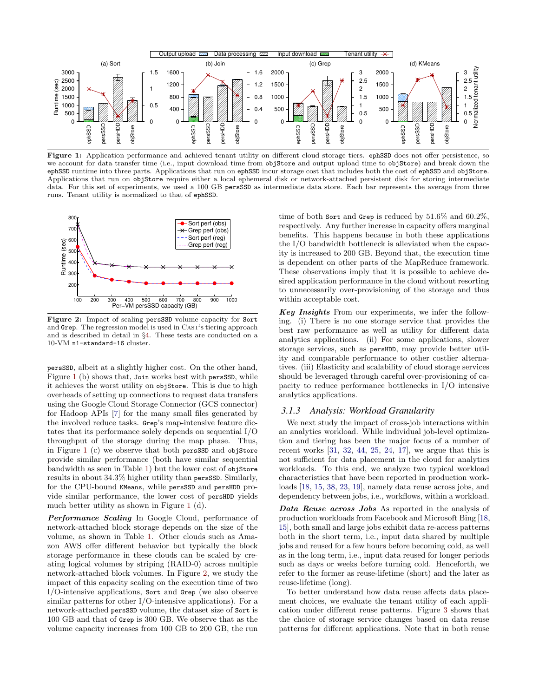<span id="page-3-0"></span>

Figure 1: Application performance and achieved tenant utility on different cloud storage tiers. ephSSD does not offer persistence, so we account for data transfer time (i.e., input download time from objStore and output upload time to objStore) and break down the ephSSD runtime into three parts. Applications that run on ephSSD incur storage cost that includes both the cost of ephSSD and objStore. Applications that run on objStore require either a local ephemeral disk or network-attached persistent disk for storing intermediate data. For this set of experiments, we used a 100 GB persSSD as intermediate data store. Each bar represents the average from three runs. Tenant utility is normalized to that of ephSSD.

<span id="page-3-1"></span>

Figure 2: Impact of scaling persSSD volume capacity for Sort and Grep. The regression model is used in CAST's tiering approach and is described in detail in §[4](#page-5-0). These tests are conducted on a 10-VM n1-standard-16 cluster.

persSSD, albeit at a slightly higher cost. On the other hand, Figure [1](#page-3-0) (b) shows that, Join works best with persSSD, while it achieves the worst utility on objStore. This is due to high overheads of setting up connections to request data transfers using the Google Cloud Storage Connector (GCS connector) for Hadoop APIs [\[7\]](#page-10-11) for the many small files generated by the involved reduce tasks. Grep's map-intensive feature dictates that its performance solely depends on sequential I/O throughput of the storage during the map phase. Thus, in Figure [1](#page-3-0) (c) we observe that both persSSD and objStore provide similar performance (both have similar sequential bandwidth as seen in Table [1\)](#page-0-0) but the lower cost of objStore results in about 34.3% higher utility than persSSD. Similarly, for the CPU-bound KMeans, while persSSD and persHDD provide similar performance, the lower cost of persHDD yields much better utility as shown in Figure [1](#page-3-0) (d).

*Performance Scaling* In Google Cloud, performance of network-attached block storage depends on the size of the volume, as shown in Table [1.](#page-0-0) Other clouds such as Amazon AWS offer different behavior but typically the block storage performance in these clouds can be scaled by creating logical volumes by striping (RAID-0) across multiple network-attached block volumes. In Figure [2,](#page-3-1) we study the impact of this capacity scaling on the execution time of two I/O-intensive applications, Sort and Grep (we also observe similar patterns for other I/O-intensive applications). For a network-attached persSSD volume, the dataset size of Sort is 100 GB and that of Grep is 300 GB. We observe that as the volume capacity increases from 100 GB to 200 GB, the run

time of both Sort and Grep is reduced by 51.6% and 60.2%, respectively. Any further increase in capacity offers marginal benefits. This happens because in both these applications the I/O bandwidth bottleneck is alleviated when the capacity is increased to 200 GB. Beyond that, the execution time is dependent on other parts of the MapReduce framework. These observations imply that it is possible to achieve desired application performance in the cloud without resorting to unnecessarily over-provisioning of the storage and thus within acceptable cost.

*Key Insights* From our experiments, we infer the following. (i) There is no one storage service that provides the best raw performance as well as utility for different data analytics applications. (ii) For some applications, slower storage services, such as persHDD, may provide better utility and comparable performance to other costlier alternatives. (iii) Elasticity and scalability of cloud storage services should be leveraged through careful over-provisioning of capacity to reduce performance bottlenecks in I/O intensive analytics applications.

#### <span id="page-3-2"></span>*3.1.3 Analysis: Workload Granularity*

We next study the impact of cross-job interactions within an analytics workload. While individual job-level optimization and tiering has been the major focus of a number of recent works [\[31,](#page-11-8) [32,](#page-11-19) [44,](#page-11-11) [25,](#page-11-20) [24,](#page-11-21) [17\]](#page-11-22), we argue that this is not sufficient for data placement in the cloud for analytics workloads. To this end, we analyze two typical workload characteristics that have been reported in production workloads [\[18,](#page-11-1) [15,](#page-10-8) [38,](#page-11-23) [23,](#page-11-6) [19\]](#page-11-24), namely data reuse across jobs, and dependency between jobs, i.e., workflows, within a workload.

*Data Reuse across Jobs* As reported in the analysis of production workloads from Facebook and Microsoft Bing [\[18,](#page-11-1) [15\]](#page-10-8), both small and large jobs exhibit data re-access patterns both in the short term, i.e., input data shared by multiple jobs and reused for a few hours before becoming cold, as well as in the long term, i.e., input data reused for longer periods such as days or weeks before turning cold. Henceforth, we refer to the former as reuse-lifetime (short) and the later as reuse-lifetime (long).

To better understand how data reuse affects data placement choices, we evaluate the tenant utility of each application under different reuse patterns. Figure [3](#page-4-0) shows that the choice of storage service changes based on data reuse patterns for different applications. Note that in both reuse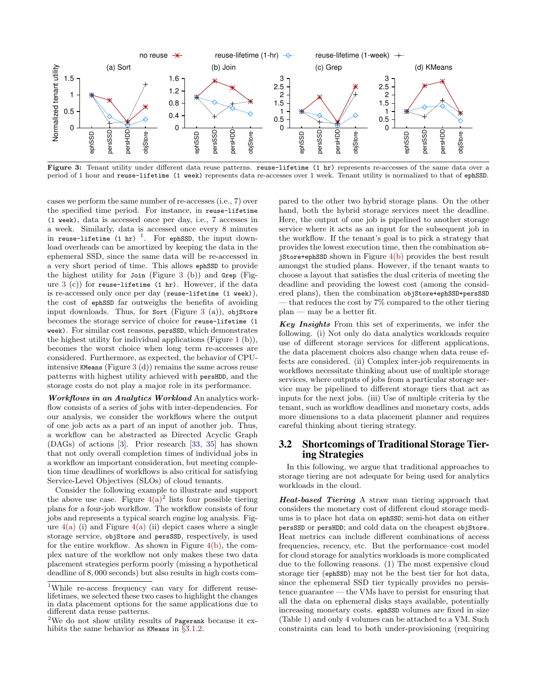<span id="page-4-0"></span>

Figure 3: Tenant utility under different data reuse patterns. reuse-lifetime (1 hr) represents re-accesses of the same data over a period of 1 hour and reuse-lifetime (1 week) represents data re-accesses over 1 week. Tenant utility is normalized to that of ephSSD.

cases we perform the same number of re-accesses (i.e., 7) over the specified time period. For instance, in reuse-lifetime (1 week), data is accessed once per day, i.e., 7 accesses in a week. Similarly, data is accessed once every 8 minutes in reuse-lifetime (1 hr) <sup>1</sup>. For ephSSD, the input download overheads can be amortized by keeping the data in the ephemeral SSD, since the same data will be re-accessed in a very short period of time. This allows ephSSD to provide the highest utility for Join (Figure [3](#page-4-0) (b)) and Grep (Figure  $3(c)$  $3(c)$  for reuse-lifetime (1 hr). However, if the data is re-accessed only once per day (reuse-lifetime (1 week)), the cost of ephSSD far outweighs the benefits of avoiding input downloads. Thus, for Sort (Figure  $3$  (a)), objStore becomes the storage service of choice for reuse-lifetime (1 week). For similar cost reasons, persSSD, which demonstrates the highest utility for individual applications (Figure [1](#page-3-0) (b)), becomes the worst choice when long term re-accesses are considered. Furthermore, as expected, the behavior of CPUintensive KMeans (Figure [3](#page-4-0) (d)) remains the same across reuse patterns with highest utility achieved with persHDD, and the storage costs do not play a major role in its performance.

*Workflows in an Analytics Workload* An analytics workflow consists of a series of jobs with inter-dependencies. For our analysis, we consider the workflows where the output of one job acts as a part of an input of another job. Thus, a workflow can be abstracted as Directed Acyclic Graph (DAGs) of actions [\[3\]](#page-10-12). Prior research [\[33,](#page-11-17) [35\]](#page-11-14) has shown that not only overall completion times of individual jobs in a workflow an important consideration, but meeting completion time deadlines of workflows is also critical for satisfying Service-Level Objectives (SLOs) of cloud tenants.

Consider the following example to illustrate and support the above use case. Figure  $4(a)^2$  $4(a)^2$  lists four possible tiering plans for a four-job workflow. The workflow consists of four jobs and represents a typical search engine log analysis. Figure  $4(a)$  (i) and Figure  $4(a)$  (ii) depict cases where a single storage service, objStore and persSSD, respectively, is used for the entire workflow. As shown in Figure [4\(b\),](#page-5-2) the complex nature of the workflow not only makes these two data placement strategies perform poorly (missing a hypothetical deadline of 8, 000 seconds) but also results in high costs compared to the other two hybrid storage plans. On the other hand, both the hybrid storage services meet the deadline. Here, the output of one job is pipelined to another storage service where it acts as an input for the subsequent job in the workflow. If the tenant's goal is to pick a strategy that provides the lowest execution time, then the combination objStore+ephSSD shown in Figure [4\(b\)](#page-5-2) provides the best result amongst the studied plans. However, if the tenant wants to choose a layout that satisfies the dual criteria of meeting the deadline and providing the lowest cost (among the considered plans), then the combination objStore+ephSSD+persSSD — that reduces the cost by  $7\%$  compared to the other tiering plan — may be a better fit.

*Key Insights* From this set of experiments, we infer the following. (i) Not only do data analytics workloads require use of different storage services for different applications, the data placement choices also change when data reuse effects are considered. (ii) Complex inter-job requirements in workflows necessitate thinking about use of multiple storage services, where outputs of jobs from a particular storage service may be pipelined to different storage tiers that act as inputs for the next jobs. (iii) Use of multiple criteria by the tenant, such as workflow deadlines and monetary costs, adds more dimensions to a data placement planner and requires careful thinking about tiering strategy.

# 3.2 Shortcomings of Traditional Storage Tiering Strategies

In this following, we argue that traditional approaches to storage tiering are not adequate for being used for analytics workloads in the cloud.

*Heat-based Tiering* A straw man tiering approach that considers the monetary cost of different cloud storage mediums is to place hot data on ephSSD; semi-hot data on either persSSD or persHDD; and cold data on the cheapest objStore. Heat metrics can include different combinations of access frequencies, recency, etc. But the performance–cost model for cloud storage for analytics workloads is more complicated due to the following reasons. (1) The most expensive cloud storage tier (ephSSD) may not be the best tier for hot data, since the ephemeral SSD tier typically provides no persistence guarantee — the VMs have to persist for ensuring that all the data on ephemeral disks stays available, potentially increasing monetary costs. ephSSD volumes are fixed in size (Table [1\)](#page-0-0) and only 4 volumes can be attached to a VM. Such constraints can lead to both under-provisioning (requiring

<sup>&</sup>lt;sup>1</sup>While re-access frequency can vary for different reuselifetimes, we selected these two cases to highlight the changes in data placement options for the same applications due to different data reuse patterns.

<sup>&</sup>lt;sup>2</sup>We do not show utility results of Pagerank because it ex-hibits the same behavior as KMeans in §[3.1.2](#page-2-2).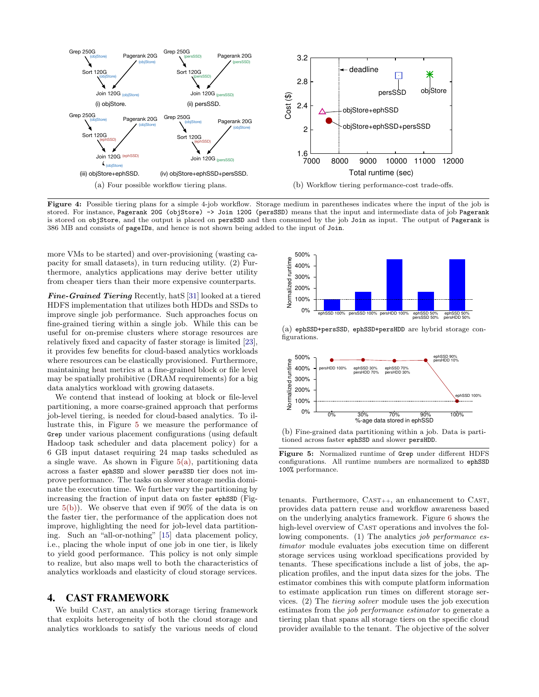<span id="page-5-1"></span>

Figure 4: Possible tiering plans for a simple 4-job workflow. Storage medium in parentheses indicates where the input of the job is stored. For instance, Pagerank 20G (objStore) -> Join 120G (persSSD) means that the input and intermediate data of job Pagerank is stored on objStore, and the output is placed on persSSD and then consumed by the job Join as input. The output of Pagerank is 386 MB and consists of pageIDs, and hence is not shown being added to the input of Join.

more VMs to be started) and over-provisioning (wasting capacity for small datasets), in turn reducing utility. (2) Furthermore, analytics applications may derive better utility from cheaper tiers than their more expensive counterparts.

*Fine-Grained Tiering* Recently, hatS [\[31\]](#page-11-8) looked at a tiered HDFS implementation that utilizes both HDDs and SSDs to improve single job performance. Such approaches focus on fine-grained tiering within a single job. While this can be useful for on-premise clusters where storage resources are relatively fixed and capacity of faster storage is limited [\[23\]](#page-11-6), it provides few benefits for cloud-based analytics workloads where resources can be elastically provisioned. Furthermore, maintaining heat metrics at a fine-grained block or file level may be spatially prohibitive (DRAM requirements) for a big data analytics workload with growing datasets.

We contend that instead of looking at block or file-level partitioning, a more coarse-grained approach that performs job-level tiering, is needed for cloud-based analytics. To illustrate this, in Figure [5](#page-5-3) we measure the performance of Grep under various placement configurations (using default Hadoop task scheduler and data placement policy) for a 6 GB input dataset requiring 24 map tasks scheduled as a single wave. As shown in Figure  $5(a)$ , partitioning data across a faster ephSSD and slower persSSD tier does not improve performance. The tasks on slower storage media dominate the execution time. We further vary the partitioning by increasing the fraction of input data on faster ephSSD (Figure  $5(b)$ ). We observe that even if  $90\%$  of the data is on the faster tier, the performance of the application does not improve, highlighting the need for job-level data partitioning. Such an "all-or-nothing" [\[15\]](#page-10-8) data placement policy, i.e., placing the whole input of one job in one tier, is likely to yield good performance. This policy is not only simple to realize, but also maps well to both the characteristics of analytics workloads and elasticity of cloud storage services.

# <span id="page-5-0"></span>4. CAST FRAMEWORK

We build CAST, an analytics storage tiering framework that exploits heterogeneity of both the cloud storage and analytics workloads to satisfy the various needs of cloud

<span id="page-5-4"></span><span id="page-5-3"></span><span id="page-5-2"></span>

(a) ephSSD+persSSD, ephSSD+persHDD are hybrid storage configurations.



<span id="page-5-5"></span>(b) Fine-grained data partitioning within a job. Data is partitioned across faster ephSSD and slower persHDD.

Figure 5: Normalized runtime of Grep under different HDFS configurations. All runtime numbers are normalized to ephSSD 100% performance.

tenants. Furthermore,  $CAST_{++}$ , an enhancement to  $CAST$ , provides data pattern reuse and workflow awareness based on the underlying analytics framework. Figure [6](#page-6-0) shows the high-level overview of CAST operations and involves the following components. (1) The analytics job performance estimator module evaluates jobs execution time on different storage services using workload specifications provided by tenants. These specifications include a list of jobs, the application profiles, and the input data sizes for the jobs. The estimator combines this with compute platform information to estimate application run times on different storage services. (2) The tiering solver module uses the job execution estimates from the job performance estimator to generate a tiering plan that spans all storage tiers on the specific cloud provider available to the tenant. The objective of the solver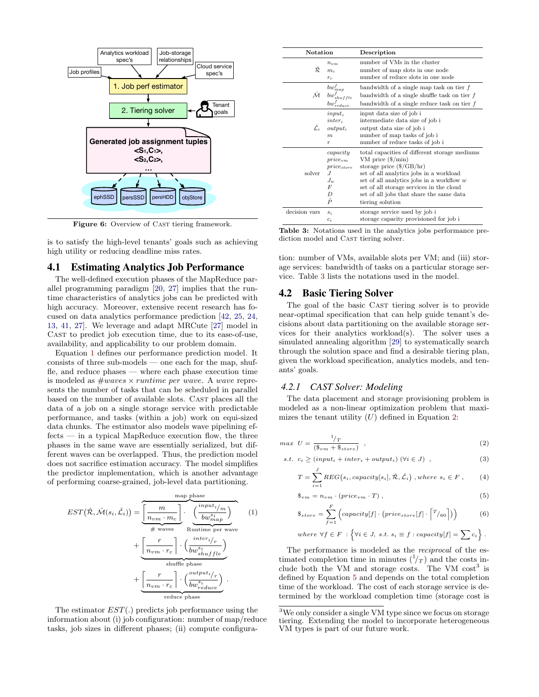<span id="page-6-0"></span>

Figure 6: Overview of CAST tiering framework.

is to satisfy the high-level tenants' goals such as achieving high utility or reducing deadline miss rates.

#### 4.1 Estimating Analytics Job Performance

The well-defined execution phases of the MapReduce parallel programming paradigm [\[20,](#page-11-25) [27\]](#page-11-10) implies that the runtime characteristics of analytics jobs can be predicted with high accuracy. Moreover, extensive recent research has focused on data analytics performance prediction [\[42,](#page-11-26) [25,](#page-11-20) [24,](#page-11-21) [13,](#page-10-13) [41,](#page-11-27) [27\]](#page-11-10). We leverage and adapt MRCute [\[27\]](#page-11-10) model in CAST to predict job execution time, due to its ease-of-use, availability, and applicability to our problem domain.

Equation [1](#page-6-1) defines our performance prediction model. It consists of three sub-models — one each for the map, shuffle, and reduce phases — where each phase execution time is modeled as  $\#waves \times runtime$  per wave. A wave represents the number of tasks that can be scheduled in parallel based on the number of available slots. CAST places all the data of a job on a single storage service with predictable performance, and tasks (within a job) work on equi-sized data chunks. The estimator also models wave pipelining effects — in a typical MapReduce execution flow, the three phases in the same wave are essentially serialized, but different waves can be overlapped. Thus, the prediction model does not sacrifice estimation accuracy. The model simplifies the predictor implementation, which is another advantage of performing coarse-grained, job-level data partitioning.

$$
EST(\hat{\mathcal{R}}, \hat{\mathcal{M}}(s_i, \hat{\mathcal{L}}_i)) = \underbrace{\boxed{\frac{m}{n_{vm} \cdot m_c}}}_{\text{# waves}} \cdot \underbrace{\left(\frac{^{input_i/m}}{bw_{map}^{si}}\right)}_{\text{Runtime per wave}} \quad (1)
$$
\n
$$
+ \underbrace{\boxed{\frac{r}{n_{vm} \cdot r_c}}}_{\text{shuffle phase}} \cdot \underbrace{\left(\frac{^{interi/r}}{bw_{shuffle}^{si}}\right)}_{\text{shuffle phase}}
$$
\n
$$
+ \underbrace{\boxed{\frac{r}{n_{vm} \cdot r_c}}}_{\text{reduce phase}}
$$
\n
$$
(2)
$$

The estimator  $EST(.)$  predicts job performance using the information about (i) job configuration: number of map/reduce tasks, job sizes in different phases; (ii) compute configura-

<span id="page-6-2"></span>

| Notation              |                                                                                               | Description                                                                                                                                                                                                                                                                                                                 |  |
|-----------------------|-----------------------------------------------------------------------------------------------|-----------------------------------------------------------------------------------------------------------------------------------------------------------------------------------------------------------------------------------------------------------------------------------------------------------------------------|--|
| Ŕ                     | $n_{nm}$<br>m <sub>c</sub><br>$r_c$                                                           | number of VMs in the cluster<br>number of map slots in one node<br>number of reduce slots in one node                                                                                                                                                                                                                       |  |
| Ĥ                     | $bw_{map}^f$<br>$bw_{shuffle}^f$<br>$bw_{reduce}^{\mathit{f}}$                                | bandwidth of a single map task on tier $f$<br>bandwidth of a single shuffle task on tier $f$<br>bandwidth of a single reduce task on tier $f$                                                                                                                                                                               |  |
| $\hat{\mathcal{L}}_i$ | $input_i$<br>$inter_i$<br>$output_i$<br>$\boldsymbol{m}$<br>$\overline{r}$                    | input data size of job i<br>intermediate data size of job i<br>output data size of job i<br>number of map tasks of job i<br>number of reduce tasks of job i                                                                                                                                                                 |  |
| solver                | capacity<br>$price_{vm}$<br>$price_{store}$<br>$\overline{J}$<br>$J_w$<br>F<br>D<br>$\hat{P}$ | total capacities of different storage mediums<br>VM price $(\frac{2}{\text{min}})$<br>storage price $(\frac{6}{GB/hr})$<br>set of all analytics jobs in a workload<br>set of all analytics jobs in a workflow w<br>set of all storage services in the cloud<br>set of all jobs that share the same data<br>tiering solution |  |
| decision vars         | $s_i$<br>$c_i$                                                                                | storage service used by job i<br>storage capacity provisioned for job i                                                                                                                                                                                                                                                     |  |

Table 3: Notations used in the analytics jobs performance prediction model and CAST tiering solver.

tion: number of VMs, available slots per VM; and (iii) storage services: bandwidth of tasks on a particular storage service. Table [3](#page-6-2) lists the notations used in the model.

#### 4.2 Basic Tiering Solver

The goal of the basic CAST tiering solver is to provide near-optimal specification that can help guide tenant's decisions about data partitioning on the available storage services for their analytics workload(s). The solver uses a simulated annealing algorithm [\[29\]](#page-11-28) to systematically search through the solution space and find a desirable tiering plan, given the workload specification, analytics models, and tenants' goals.

#### *4.2.1 CAST Solver: Modeling*

The data placement and storage provisioning problem is modeled as a non-linear optimization problem that maximizes the tenant utility  $(U)$  defined in Equation [2:](#page-6-3)

$$
max \ \ U = \frac{1/r}{(\$_{vm} + \$_{store})}, \tag{2}
$$

$$
s.t. \ c_i \ge (input_i + inter_i + output_i) \ (\forall i \in J) \tag{3}
$$

<span id="page-6-7"></span><span id="page-6-6"></span><span id="page-6-3"></span>
$$
T = \sum_{i=1}^{J} REG(s_i, capacity[s_i], \hat{\mathcal{R}}, \hat{\mathcal{L}}_i), where s_i \in F , \qquad (4)
$$

<span id="page-6-4"></span>
$$
\mathcal{E}_{vm} = n_{vm} \cdot (price_{vm} \cdot T) , \qquad (5)
$$

<span id="page-6-5"></span><span id="page-6-1"></span>
$$
\mathbf{\$}_{store} = \sum_{f=1}^{F} \left( capacity[f] \cdot (price_{store}[f] \cdot \left\lceil \frac{T}{60} \right\rceil) \right) \tag{6}
$$

where 
$$
\forall f \in F : \{ \forall i \in J, s.t. s_i \equiv f : capacity[f] = \sum c_i \}.
$$

The performance is modeled as the *reciprocal* of the estimated completion time in minutes  $\binom{1}{T}$  and the costs include both the VM and storage costs. The VM cost<sup>3</sup> is defined by Equation [5](#page-6-4) and depends on the total completion time of the workload. The cost of each storage service is determined by the workload completion time (storage cost is

<sup>3</sup>We only consider a single VM type since we focus on storage tiering. Extending the model to incorporate heterogeneous VM types is part of our future work.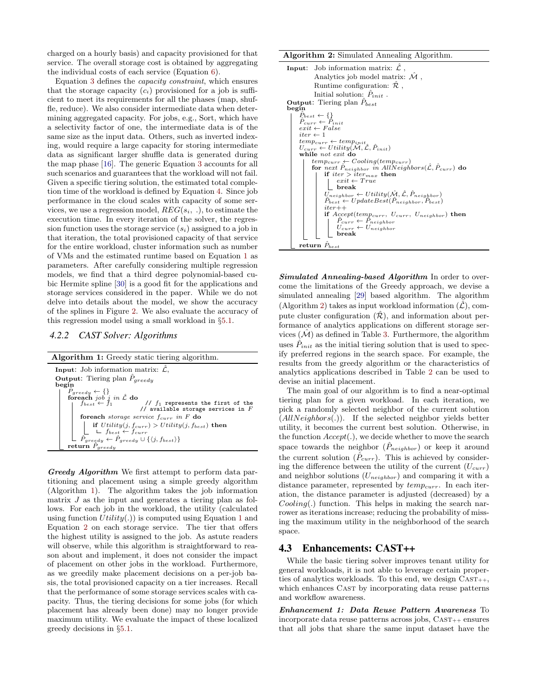charged on a hourly basis) and capacity provisioned for that service. The overall storage cost is obtained by aggregating the individual costs of each service (Equation [6\)](#page-6-5).

Equation [3](#page-6-6) defines the capacity constraint, which ensures that the storage capacity  $(c_i)$  provisioned for a job is sufficient to meet its requirements for all the phases (map, shuffle, reduce). We also consider intermediate data when determining aggregated capacity. For jobs, e.g., Sort, which have a selectivity factor of one, the intermediate data is of the same size as the input data. Others, such as inverted indexing, would require a large capacity for storing intermediate data as significant larger shuffle data is generated during the map phase [\[16\]](#page-11-29). The generic Equation [3](#page-6-6) accounts for all such scenarios and guarantees that the workload will not fail. Given a specific tiering solution, the estimated total completion time of the workload is defined by Equation [4.](#page-6-7) Since job performance in the cloud scales with capacity of some services, we use a regression model,  $REG(s_i, .)$ , to estimate the execution time. In every iteration of the solver, the regression function uses the storage service  $(s_i)$  assigned to a job in that iteration, the total provisioned capacity of that service for the entire workload, cluster information such as number of VMs and the estimated runtime based on Equation [1](#page-6-1) as parameters. After carefully considering multiple regression models, we find that a third degree polynomial-based cubic Hermite spline [\[30\]](#page-11-30) is a good fit for the applications and storage services considered in the paper. While we do not delve into details about the model, we show the accuracy of the splines in Figure [2.](#page-3-1) We also evaluate the accuracy of this regression model using a small workload in §[5.1.](#page-8-0)

#### *4.2.2 CAST Solver: Algorithms*



<span id="page-7-0"></span>*Greedy Algorithm* We first attempt to perform data partitioning and placement using a simple greedy algorithm (Algorithm [1\)](#page-7-0). The algorithm takes the job information matrix  $J$  as the input and generates a tiering plan as follows. For each job in the workload, the utility (calculated using function  $Utility(.)$  is computed using Equation [1](#page-6-1) and Equation [2](#page-6-3) on each storage service. The tier that offers the highest utility is assigned to the job. As astute readers will observe, while this algorithm is straightforward to reason about and implement, it does not consider the impact of placement on other jobs in the workload. Furthermore, as we greedily make placement decisions on a per-job basis, the total provisioned capacity on a tier increases. Recall that the performance of some storage services scales with capacity. Thus, the tiering decisions for some jobs (for which placement has already been done) may no longer provide maximum utility. We evaluate the impact of these localized greedy decisions in §[5.1](#page-8-0).

Algorithm 2: Simulated Annealing Algorithm.



<span id="page-7-1"></span>*Simulated Annealing-based Algorithm* In order to overcome the limitations of the Greedy approach, we devise a simulated annealing [\[29\]](#page-11-28) based algorithm. The algorithm (Algorithm [2\)](#page-7-1) takes as input workload information  $(\hat{\mathcal{L}})$ , compute cluster configuration  $(\hat{\mathcal{R}})$ , and information about performance of analytics applications on different storage services  $(M)$  as defined in Table [3.](#page-6-2) Furthermore, the algorithm uses  $\ddot{P}_{init}$  as the initial tiering solution that is used to specify preferred regions in the search space. For example, the results from the greedy algorithm or the characteristics of analytics applications described in Table [2](#page-2-1) can be used to devise an initial placement.

The main goal of our algorithm is to find a near-optimal tiering plan for a given workload. In each iteration, we pick a randomly selected neighbor of the current solution  $(AllNeighbors(.)).$  If the selected neighbor yields better utility, it becomes the current best solution. Otherwise, in the function  $Accept(.)$ , we decide whether to move the search space towards the neighbor  $(\hat{P}_{neighbor})$  or keep it around the current solution  $(\hat{P}_{curr})$ . This is achieved by considering the difference between the utility of the current  $(U_{curr})$ and neighbor solutions  $(U_{neiahbor})$  and comparing it with a distance parameter, represented by  $temp_{curr}$ . In each iteration, the distance parameter is adjusted (decreased) by a  $Cooling(.)$  function. This helps in making the search narrower as iterations increase; reducing the probability of missing the maximum utility in the neighborhood of the search space.

### 4.3 Enhancements: CAST++

While the basic tiering solver improves tenant utility for general workloads, it is not able to leverage certain properties of analytics workloads. To this end, we design  $CAST_{++}$ , which enhances CAST by incorporating data reuse patterns and workflow awareness.

*Enhancement 1: Data Reuse Pattern Awareness* To incorporate data reuse patterns across jobs,  $C_AST_{++}$  ensures that all jobs that share the same input dataset have the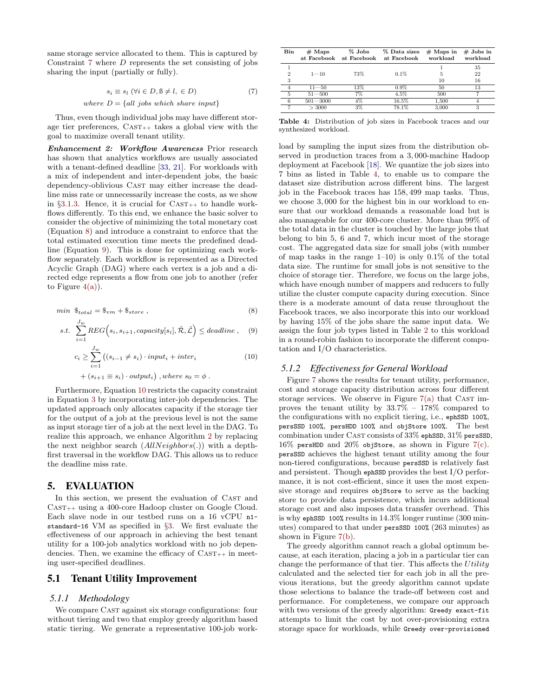same storage service allocated to them. This is captured by Constraint [7](#page-8-1) where D represents the set consisting of jobs sharing the input (partially or fully).

$$
s_i \equiv s_l \ (\forall i \in D, \mathbf{B} \neq l, \in D)
$$
\n
$$
where \ D = \{all \ jobs \ which \ share \ input \} \tag{7}
$$

Thus, even though individual jobs may have different storage tier preferences,  $CAST_{++}$  takes a global view with the goal to maximize overall tenant utility.

*Enhancement 2: Workflow Awareness* Prior research has shown that analytics workflows are usually associated with a tenant-defined deadline [\[33,](#page-11-17) [21\]](#page-11-15). For workloads with a mix of independent and inter-dependent jobs, the basic dependency-oblivious CAST may either increase the deadline miss rate or unnecessarily increase the costs, as we show in  $\S 3.1.3$  $\S 3.1.3$ . Hence, it is crucial for CAST<sub>++</sub> to handle workflows differently. To this end, we enhance the basic solver to consider the objective of minimizing the total monetary cost (Equation [8\)](#page-8-2) and introduce a constraint to enforce that the total estimated execution time meets the predefined deadline (Equation [9\)](#page-8-3). This is done for optimizing each workflow separately. Each workflow is represented as a Directed Acyclic Graph (DAG) where each vertex is a job and a directed edge represents a flow from one job to another (refer to Figure  $4(a)$ ).

$$
min \ \mathcal{S}_{total} = \mathcal{S}_{vm} + \mathcal{S}_{store} \ , \tag{8}
$$

$$
s.t. \sum_{i=1}^{J_w} REG(s_i, s_{i+1}, capacity[s_i], \hat{\mathcal{R}}, \hat{\mathcal{L}}) \leq deadline , \quad (9)
$$

$$
c_i \ge \sum_{i=1}^{J_w} \left( (s_{i-1} \ne s_i) \cdot input_i + inter_i \right) \tag{10}
$$

 $+(s_{i+1} \equiv s_i) \cdot output_i), where s_0 = \phi.$ 

Furthermore, Equation [10](#page-8-4) restricts the capacity constraint in Equation [3](#page-6-6) by incorporating inter-job dependencies. The updated approach only allocates capacity if the storage tier for the output of a job at the previous level is not the same as input storage tier of a job at the next level in the DAG. To realize this approach, we enhance Algorithm [2](#page-7-1) by replacing the next neighbor search  $(AllNeighbors(.))$  with a depthfirst traversal in the workflow DAG. This allows us to reduce the deadline miss rate.

#### 5. EVALUATION

In this section, we present the evaluation of CAST and CAST<sub>++</sub> using a 400-core Hadoop cluster on Google Cloud. Each slave node in our testbed runs on a 16 vCPU n1 standard-16 VM as specified in §[3.](#page-2-0) We first evaluate the effectiveness of our approach in achieving the best tenant utility for a 100-job analytics workload with no job dependencies. Then, we examine the efficacy of  $C_AST_{++}$  in meeting user-specified deadlines.

#### <span id="page-8-0"></span>5.1 Tenant Utility Improvement

#### *5.1.1 Methodology*

We compare CAST against six storage configurations: four without tiering and two that employ greedy algorithm based static tiering. We generate a representative 100-job work-

<span id="page-8-5"></span>

| Bin | $#$ Maps     | $%$ Jobs<br>at Facebook at Facebook | % Data sizes<br>at Facebook | $#$ Maps in<br>workload | $#$ Jobs in<br>workload |
|-----|--------------|-------------------------------------|-----------------------------|-------------------------|-------------------------|
|     |              |                                     |                             |                         | 35                      |
| 2   | $1 - 10$     | 73%                                 | $0.1\%$                     | 5                       | 22                      |
| 3   |              |                                     |                             | 10                      | 16                      |
|     | $11 - 50$    | 13%                                 | $0.9\%$                     | 50                      | 13                      |
| 5   | $51 - 500$   | 7%                                  | $4.5\%$                     | 500                     |                         |
| 6   | $501 - 3000$ | 4%                                  | 16.5%                       | 1,500                   |                         |
|     | > 3000       | 3%                                  | 78.1%                       | 3,000                   |                         |

<span id="page-8-1"></span>Table 4: Distribution of job sizes in Facebook traces and our synthesized workload.

load by sampling the input sizes from the distribution observed in production traces from a 3, 000-machine Hadoop deployment at Facebook [\[18\]](#page-11-1). We quantize the job sizes into 7 bins as listed in Table [4,](#page-8-5) to enable us to compare the dataset size distribution across different bins. The largest job in the Facebook traces has 158, 499 map tasks. Thus, we choose 3, 000 for the highest bin in our workload to ensure that our workload demands a reasonable load but is also manageable for our 400-core cluster. More than 99% of the total data in the cluster is touched by the large jobs that belong to bin 5, 6 and 7, which incur most of the storage cost. The aggregated data size for small jobs (with number of map tasks in the range  $1-10$ ) is only  $0.1\%$  of the total data size. The runtime for small jobs is not sensitive to the choice of storage tier. Therefore, we focus on the large jobs, which have enough number of mappers and reducers to fully utilize the cluster compute capacity during execution. Since there is a moderate amount of data reuse throughout the Facebook traces, we also incorporate this into our workload by having 15% of the jobs share the same input data. We assign the four job types listed in Table [2](#page-2-1) to this workload in a round-robin fashion to incorporate the different computation and I/O characteristics.

#### <span id="page-8-6"></span><span id="page-8-4"></span><span id="page-8-3"></span><span id="page-8-2"></span>*5.1.2 Effectiveness for General Workload*

Figure [7](#page-9-0) shows the results for tenant utility, performance, cost and storage capacity distribution across four different storage services. We observe in Figure  $7(a)$  that CAST improves the tenant utility by 33.7% – 178% compared to the configurations with no explicit tiering, i.e., ephSSD 100%, persSSD 100%, persHDD 100% and objStore 100%. The best combination under CAST consists of 33% ephSSD, 31% persSSD, 16% persHDD and 20% objStore, as shown in Figure [7\(c\).](#page-9-2) persSSD achieves the highest tenant utility among the four non-tiered configurations, because persSSD is relatively fast and persistent. Though ephSSD provides the best I/O performance, it is not cost-efficient, since it uses the most expensive storage and requires objStore to serve as the backing store to provide data persistence, which incurs additional storage cost and also imposes data transfer overhead. This is why ephSSD 100% results in 14.3% longer runtime (300 minutes) compared to that under persSSD 100% (263 minutes) as shown in Figure [7\(b\).](#page-9-3)

The greedy algorithm cannot reach a global optimum because, at each iteration, placing a job in a particular tier can change the performance of that tier. This affects the  $Utility$ calculated and the selected tier for each job in all the previous iterations, but the greedy algorithm cannot update those selections to balance the trade-off between cost and performance. For completeness, we compare our approach with two versions of the greedy algorithm: Greedy exact-fit attempts to limit the cost by not over-provisioning extra storage space for workloads, while Greedy over-provisioned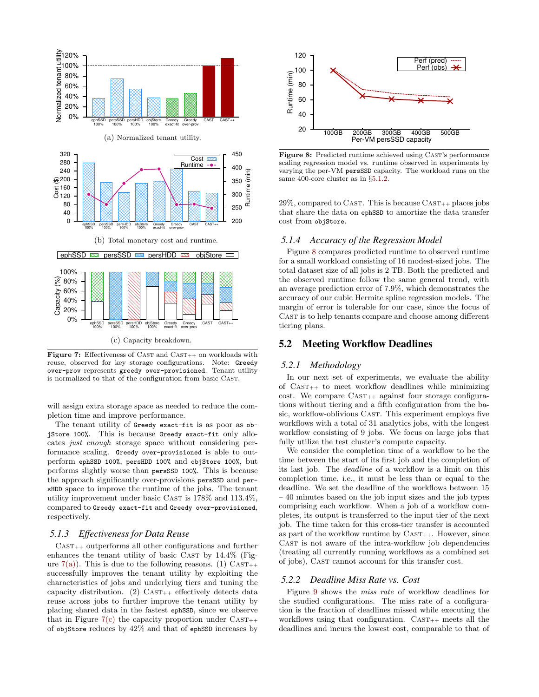<span id="page-9-1"></span><span id="page-9-0"></span>

<span id="page-9-3"></span><span id="page-9-2"></span>Figure 7: Effectiveness of CAST and CAST++ on workloads with reuse, observed for key storage configurations. Note: Greedy over-prov represents greedy over-provisioned. Tenant utility is normalized to that of the configuration from basic Cast.

will assign extra storage space as needed to reduce the completion time and improve performance.

The tenant utility of Greedy exact-fit is as poor as objStore 100%. This is because Greedy exact-fit only allocates just enough storage space without considering performance scaling. Greedy over-provisioned is able to outperform ephSSD 100%, persHDD 100% and objStore 100%, but performs slightly worse than persSSD 100%. This is because the approach significantly over-provisions persSSD and persHDD space to improve the runtime of the jobs. The tenant utility improvement under basic CAST is  $178\%$  and  $113.4\%$ , compared to Greedy exact-fit and Greedy over-provisioned, respectively.

#### *5.1.3 Effectiveness for Data Reuse*

 $CAST_{++}$  outperforms all other configurations and further enhances the tenant utility of basic CAST by  $14.4\%$  (Figure  $7(a)$ ). This is due to the following reasons. (1)  $C_AST_{++}$ successfully improves the tenant utility by exploiting the characteristics of jobs and underlying tiers and tuning the capacity distribution. (2)  $CAST_{++}$  effectively detects data reuse across jobs to further improve the tenant utility by placing shared data in the fastest ephSSD, since we observe that in Figure [7\(c\)](#page-9-2) the capacity proportion under  $C_AST_{++}$ of objStore reduces by 42% and that of ephSSD increases by

<span id="page-9-4"></span>

Figure 8: Predicted runtime achieved using CAST's performance scaling regression model vs. runtime observed in experiments by varying the per-VM persSSD capacity. The workload runs on the same 400-core cluster as in §[5.1.2](#page-8-6).

 $29\%$ , compared to CAST. This is because  $\text{CAST}_{++}$  places jobs that share the data on ephSSD to amortize the data transfer cost from objStore.

#### *5.1.4 Accuracy of the Regression Model*

Figure [8](#page-9-4) compares predicted runtime to observed runtime for a small workload consisting of 16 modest-sized jobs. The total dataset size of all jobs is 2 TB. Both the predicted and the observed runtime follow the same general trend, with an average prediction error of 7.9%, which demonstrates the accuracy of our cubic Hermite spline regression models. The margin of error is tolerable for our case, since the focus of CAST is to help tenants compare and choose among different tiering plans.

### 5.2 Meeting Workflow Deadlines

#### *5.2.1 Methodology*

In our next set of experiments, we evaluate the ability of  $C_AST_{++}$  to meet workflow deadlines while minimizing cost. We compare  $C_AST_{++}$  against four storage configurations without tiering and a fifth configuration from the basic, workflow-oblivious CAST. This experiment employs five workflows with a total of 31 analytics jobs, with the longest workflow consisting of 9 jobs. We focus on large jobs that fully utilize the test cluster's compute capacity.

We consider the completion time of a workflow to be the time between the start of its first job and the completion of its last job. The deadline of a workflow is a limit on this completion time, i.e., it must be less than or equal to the deadline. We set the deadline of the workflows between 15 – 40 minutes based on the job input sizes and the job types comprising each workflow. When a job of a workflow completes, its output is transferred to the input tier of the next job. The time taken for this cross-tier transfer is accounted as part of the workflow runtime by  $CAST_{++}$ . However, since CAST is not aware of the intra-workflow job dependencies (treating all currently running workflows as a combined set of jobs), Cast cannot account for this transfer cost.

#### *5.2.2 Deadline Miss Rate vs. Cost*

Figure [9](#page-10-14) shows the miss rate of workflow deadlines for the studied configurations. The miss rate of a configuration is the fraction of deadlines missed while executing the workflows using that configuration.  $C_AST_{++}$  meets all the deadlines and incurs the lowest cost, comparable to that of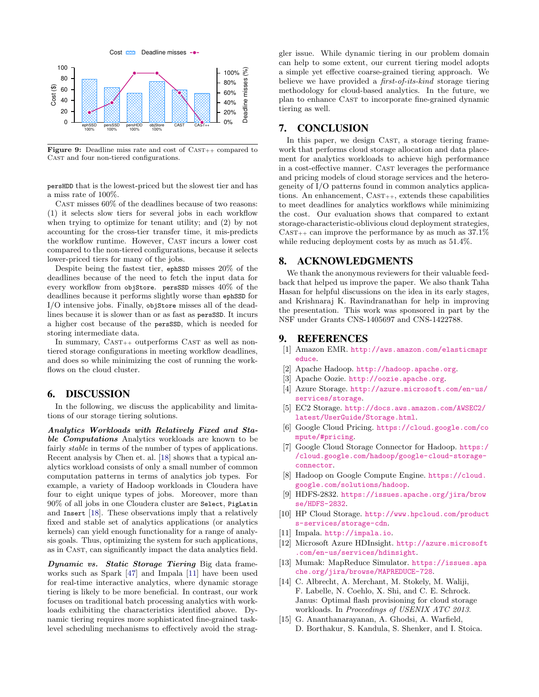<span id="page-10-14"></span>

**Figure 9:** Deadline miss rate and cost of  $C_AST_{++}$  compared to Cast and four non-tiered configurations.

persHDD that is the lowest-priced but the slowest tier and has a miss rate of 100%.

CAST misses  $60\%$  of the deadlines because of two reasons: (1) it selects slow tiers for several jobs in each workflow when trying to optimize for tenant utility; and (2) by not accounting for the cross-tier transfer time, it mis-predicts the workflow runtime. However, Cast incurs a lower cost compared to the non-tiered configurations, because it selects lower-priced tiers for many of the jobs.

Despite being the fastest tier, ephSSD misses 20% of the deadlines because of the need to fetch the input data for every workflow from objStore. persSSD misses 40% of the deadlines because it performs slightly worse than ephSSD for I/O intensive jobs. Finally, objStore misses all of the deadlines because it is slower than or as fast as persSSD. It incurs a higher cost because of the persSSD, which is needed for storing intermediate data.

In summary,  $CAST_{++}$  outperforms CAST as well as nontiered storage configurations in meeting workflow deadlines, and does so while minimizing the cost of running the workflows on the cloud cluster.

#### 6. DISCUSSION

In the following, we discuss the applicability and limitations of our storage tiering solutions.

*Analytics Workloads with Relatively Fixed and Stable Computations* Analytics workloads are known to be fairly *stable* in terms of the number of types of applications. Recent analysis by Chen et. al. [\[18\]](#page-11-1) shows that a typical analytics workload consists of only a small number of common computation patterns in terms of analytics job types. For example, a variety of Hadoop workloads in Cloudera have four to eight unique types of jobs. Moreover, more than 90% of all jobs in one Cloudera cluster are Select, PigLatin and Insert [\[18\]](#page-11-1). These observations imply that a relatively fixed and stable set of analytics applications (or analytics kernels) can yield enough functionality for a range of analysis goals. Thus, optimizing the system for such applications, as in CAST, can significantly impact the data analytics field.

*Dynamic vs. Static Storage Tiering* Big data frameworks such as Spark [\[47\]](#page-11-31) and Impala [\[11\]](#page-10-15) have been used for real-time interactive analytics, where dynamic storage tiering is likely to be more beneficial. In contrast, our work focuses on traditional batch processing analytics with workloads exhibiting the characteristics identified above. Dynamic tiering requires more sophisticated fine-grained tasklevel scheduling mechanisms to effectively avoid the straggler issue. While dynamic tiering in our problem domain can help to some extent, our current tiering model adopts a simple yet effective coarse-grained tiering approach. We believe we have provided a first-of-its-kind storage tiering methodology for cloud-based analytics. In the future, we plan to enhance Cast to incorporate fine-grained dynamic tiering as well.

# 7. CONCLUSION

In this paper, we design CAST, a storage tiering framework that performs cloud storage allocation and data placement for analytics workloads to achieve high performance in a cost-effective manner. CAST leverages the performance and pricing models of cloud storage services and the heterogeneity of I/O patterns found in common analytics applications. An enhancement,  $CAST_{++}$ , extends these capabilities to meet deadlines for analytics workflows while minimizing the cost. Our evaluation shows that compared to extant storage-characteristic-oblivious cloud deployment strategies,  $CAST_{++}$  can improve the performance by as much as 37.1% while reducing deployment costs by as much as 51.4%.

# 8. ACKNOWLEDGMENTS

We thank the anonymous reviewers for their valuable feedback that helped us improve the paper. We also thank Taha Hasan for helpful discussions on the idea in its early stages, and Krishnaraj K. Ravindranathan for help in improving the presentation. This work was sponsored in part by the NSF under Grants CNS-1405697 and CNS-1422788.

# <span id="page-10-2"></span>9. REFERENCES

- <span id="page-10-1"></span>[1] Amazon EMR. [http://aws.amazon.com/elasticmapr](http://aws.amazon.com/elasticmapreduce) [educe](http://aws.amazon.com/elasticmapreduce).
- <span id="page-10-12"></span>[2] Apache Hadoop. <http://hadoop.apache.org>.
- <span id="page-10-6"></span>[3] Apache Oozie. <http://oozie.apache.org>.
- [4] Azure Storage. [http://azure.microsoft.com/en-us/](http://azure.microsoft.com/en-us/services/storage) [services/storage](http://azure.microsoft.com/en-us/services/storage).
- <span id="page-10-5"></span>[5] EC2 Storage. [http://docs.aws.amazon.com/AWSEC2/](http://docs.aws.amazon.com/AWSEC2/latest/UserGuide/Storage.html) [latest/UserGuide/Storage.html](http://docs.aws.amazon.com/AWSEC2/latest/UserGuide/Storage.html).
- <span id="page-10-0"></span>[6] Google Cloud Pricing. [https://cloud.google.com/co](https://cloud.google.com/compute/#pricing) [mpute/#pricing](https://cloud.google.com/compute/#pricing).
- <span id="page-10-11"></span>[7] Google Cloud Storage Connector for Hadoop. [https:/](https://cloud.google.com/hadoop/google-cloud-storage-connector) [/cloud.google.com/hadoop/google-cloud-storage](https://cloud.google.com/hadoop/google-cloud-storage-connector)[connector](https://cloud.google.com/hadoop/google-cloud-storage-connector).
- <span id="page-10-3"></span>[8] Hadoop on Google Compute Engine. [https://cloud.](https://cloud.google.com/solutions/hadoop) [google.com/solutions/hadoop](https://cloud.google.com/solutions/hadoop).
- <span id="page-10-9"></span>[9] HDFS-2832. [https://issues.apache.org/jira/brow](https://issues.apache.org/jira/browse/HDFS-2832) [se/HDFS-2832](https://issues.apache.org/jira/browse/HDFS-2832).
- <span id="page-10-7"></span>[10] HP Cloud Storage. [http://www.hpcloud.com/product](http://www.hpcloud.com/products-services/storage-cdn) [s-services/storage-cdn](http://www.hpcloud.com/products-services/storage-cdn).
- <span id="page-10-15"></span><span id="page-10-4"></span>[11] Impala. <http://impala.io>.
- [12] Microsoft Azure HDInsight. [http://azure.microsoft](http://azure.microsoft.com/en-us/services/hdinsight) [.com/en-us/services/hdinsight](http://azure.microsoft.com/en-us/services/hdinsight).
- <span id="page-10-13"></span>[13] Mumak: MapReduce Simulator. [https://issues.apa](https://issues.apache.org/jira/browse/MAPREDUCE-728) [che.org/jira/browse/MAPREDUCE-728](https://issues.apache.org/jira/browse/MAPREDUCE-728).
- <span id="page-10-10"></span>[14] C. Albrecht, A. Merchant, M. Stokely, M. Waliji, F. Labelle, N. Coehlo, X. Shi, and C. E. Schrock. Janus: Optimal flash provisioning for cloud storage workloads. In Proceedings of USENIX ATC 2013.
- <span id="page-10-8"></span>[15] G. Ananthanarayanan, A. Ghodsi, A. Warfield, D. Borthakur, S. Kandula, S. Shenker, and I. Stoica.